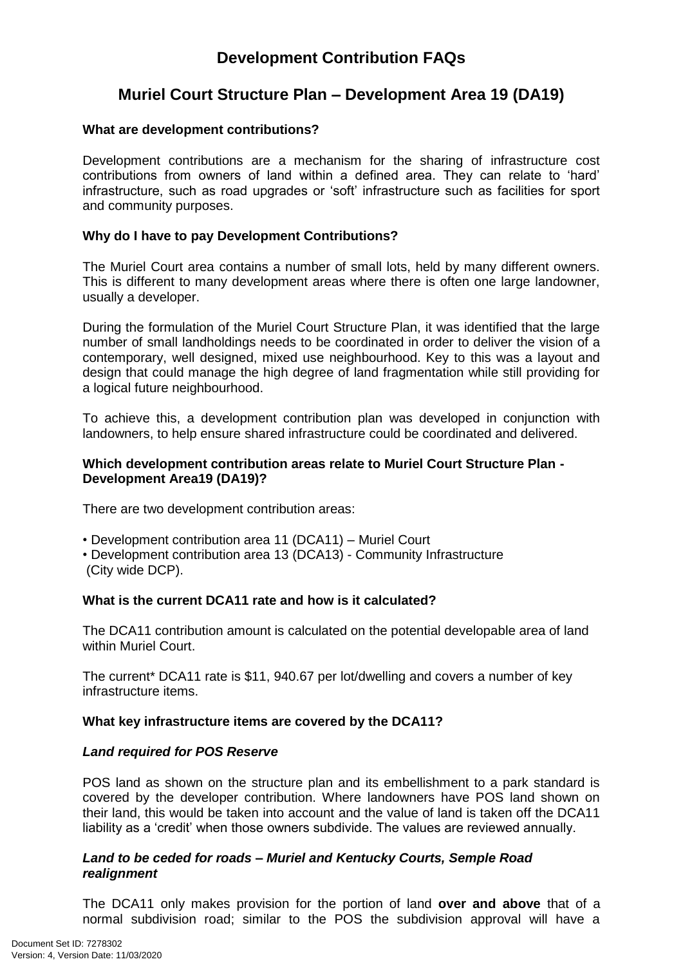# **Development Contribution FAQs**

# **Muriel Court Structure Plan – Development Area 19 (DA19)**

# **What are development contributions?**

Development contributions are a mechanism for the sharing of infrastructure cost contributions from owners of land within a defined area. They can relate to 'hard' infrastructure, such as road upgrades or 'soft' infrastructure such as facilities for sport and community purposes.

# **Why do I have to pay Development Contributions?**

The Muriel Court area contains a number of small lots, held by many different owners. This is different to many development areas where there is often one large landowner, usually a developer.

During the formulation of the Muriel Court Structure Plan, it was identified that the large number of small landholdings needs to be coordinated in order to deliver the vision of a contemporary, well designed, mixed use neighbourhood. Key to this was a layout and design that could manage the high degree of land fragmentation while still providing for a logical future neighbourhood.

To achieve this, a development contribution plan was developed in conjunction with landowners, to help ensure shared infrastructure could be coordinated and delivered.

## **Which development contribution areas relate to Muriel Court Structure Plan - Development Area19 (DA19)?**

There are two development contribution areas:

- Development contribution area 11 (DCA11) Muriel Court
- Development contribution area 13 (DCA13) Community Infrastructure (City wide DCP).

## **What is the current DCA11 rate and how is it calculated?**

The DCA11 contribution amount is calculated on the potential developable area of land within Muriel Court.

The current\* DCA11 rate is \$11, 940.67 per lot/dwelling and covers a number of key infrastructure items.

### **What key infrastructure items are covered by the DCA11?**

### *Land required for POS Reserve*

POS land as shown on the structure plan and its embellishment to a park standard is covered by the developer contribution. Where landowners have POS land shown on their land, this would be taken into account and the value of land is taken off the DCA11 liability as a 'credit' when those owners subdivide. The values are reviewed annually.

# *Land to be ceded for roads – Muriel and Kentucky Courts, Semple Road realignment*

The DCA11 only makes provision for the portion of land **over and above** that of a normal subdivision road; similar to the POS the subdivision approval will have a